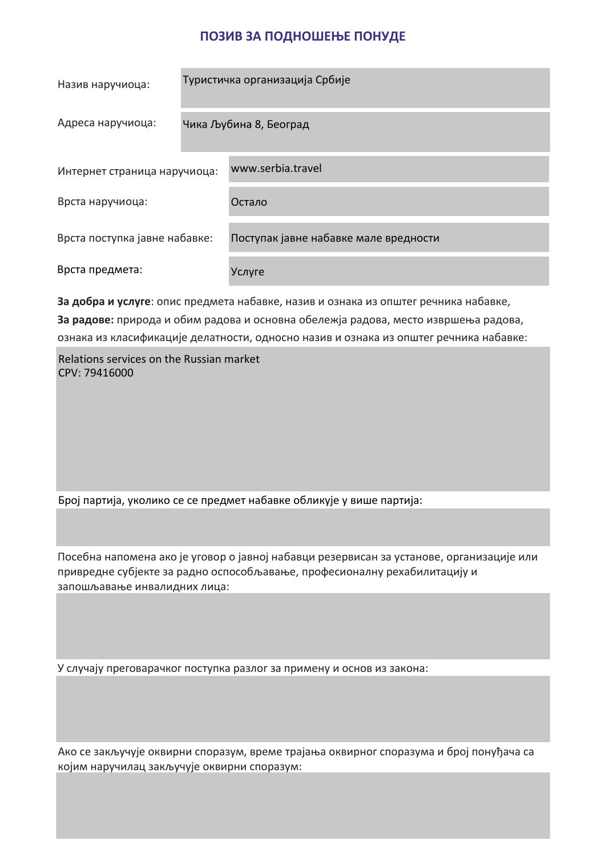## **ПОЗИВ ЗА ПОДНОШЕЊЕ ПОНУДЕ**

| Назив наручиоца:              | Туристичка организација Србије |                                       |  |
|-------------------------------|--------------------------------|---------------------------------------|--|
| Адреса наручиоца:             | Чика Љубина 8, Београд         |                                       |  |
| Интернет страница наручиоца:  |                                | www.serbia.travel                     |  |
| Врста наручиоца:              |                                | Остало                                |  |
| Врста поступка јавне набавке: |                                | Поступак јавне набавке мале вредности |  |
| Врста предмета:               |                                | Услуге                                |  |

**За добра и услуге**: опис предмета набавке, назив и ознака из општег речника набавке, **За радове:** природа и обим радова и основна обележја радова, место извршења радова, ознака из класификације делатности, односно назив и ознака из општег речника набавке:

Relations services on the Russian market CPV: 79416000

Број партија, уколико се се предмет набавке обликује у више партија:

Посебна напомена ако је уговор о јавној набавци резервисан за установе, организације или привредне субјекте за радно оспособљавање, професионалну рехабилитацију и запошљавање инвалидних лица:

У случају преговарачког поступка разлог за примену и основ из закона:

Ако се закључује оквирни споразум, време трајања оквирног споразума и број понуђача са којим наручилац закључује оквирни споразум: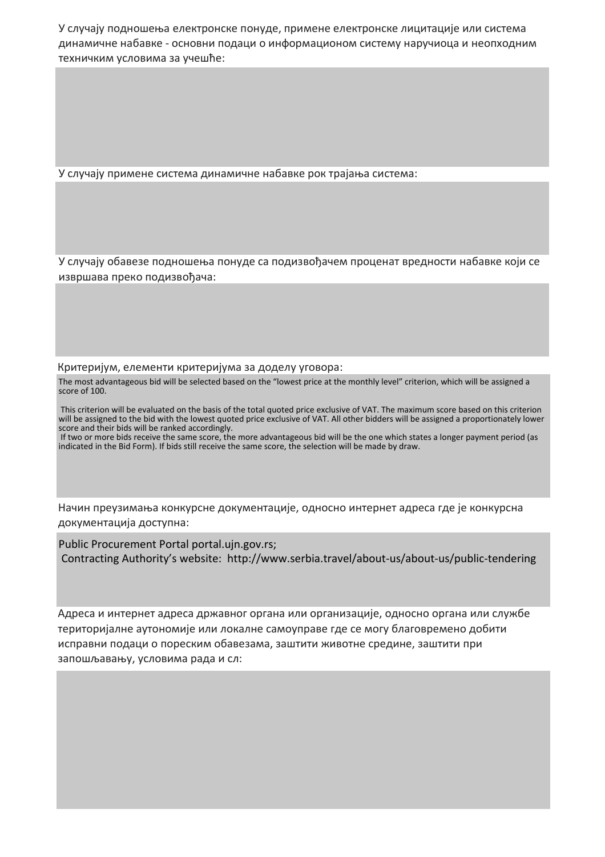У случају подношења електронске понуде, примене електронске лицитације или система динамичне набавке - основни подаци о информационом систему наручиоца и неопходним техничким условима за учешће:

У случају примене система динамичне набавке рок трајања система:

У случају обавезе подношења понуде са подизвођачем проценат вредности набавке који се извршава преко подизвођача:

Критеријум, елементи критеријума за доделу уговора:

The most advantageous bid will be selected based on the "lowest price at the monthly level" criterion, which will be assigned a score of 100.

 This criterion will be evaluated on the basis of the total quoted price exclusive of VAT. The maximum score based on this criterion will be assigned to the bid with the lowest quoted price exclusive of VAT. All other bidders will be assigned a proportionately lower score and their bids will be ranked accordingly.

 If two or more bids receive the same score, the more advantageous bid will be the one which states a longer payment period (as indicated in the Bid Form). If bids still receive the same score, the selection will be made by draw.

Начин преузимања конкурсне документације, односно интернет адресa где је конкурсна документација доступна:

Public Procurement Portal portal.ujn.gov.rs; Contracting Authority's website: http://www.serbia.travel/about-us/about-us/public-tendering

Адресa и интернет адресa државног органа или организације, односно органа или службе територијалне аутономије или локалне самоуправе где се могу благовремено добити исправни подаци о пореским обавезама, заштити животне средине, заштити при запошљавању, условима рада и сл: